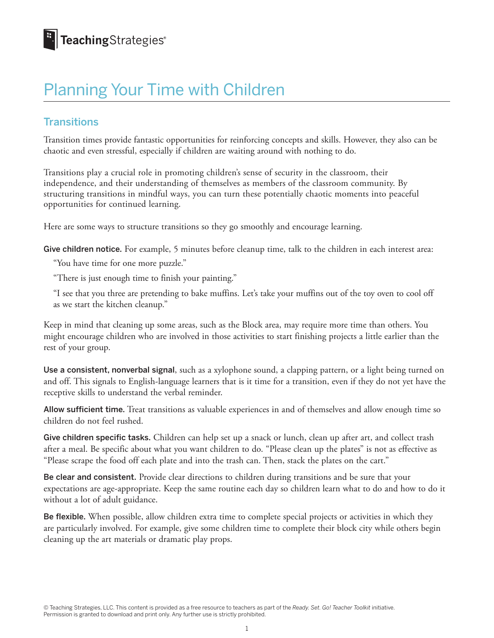### Planning Your Time with Children

#### **Transitions**

Transition times provide fantastic opportunities for reinforcing concepts and skills. However, they also can be chaotic and even stressful, especially if children are waiting around with nothing to do.

Transitions play a crucial role in promoting children's sense of security in the classroom, their independence, and their understanding of themselves as members of the classroom community. By structuring transitions in mindful ways, you can turn these potentially chaotic moments into peaceful opportunities for continued learning.

Here are some ways to structure transitions so they go smoothly and encourage learning.

Give children notice. For example, 5 minutes before cleanup time, talk to the children in each interest area:

"You have time for one more puzzle."

"There is just enough time to finish your painting."

"I see that you three are pretending to bake muffins. Let's take your muffins out of the toy oven to cool off as we start the kitchen cleanup."

Keep in mind that cleaning up some areas, such as the Block area, may require more time than others. You might encourage children who are involved in those activities to start finishing projects a little earlier than the rest of your group.

Use a consistent, nonverbal signal, such as a xylophone sound, a clapping pattern, or a light being turned on and off. This signals to English-language learners that is it time for a transition, even if they do not yet have the receptive skills to understand the verbal reminder.

Allow sufficient time. Treat transitions as valuable experiences in and of themselves and allow enough time so children do not feel rushed.

Give children specific tasks. Children can help set up a snack or lunch, clean up after art, and collect trash after a meal. Be specific about what you want children to do. "Please clean up the plates" is not as effective as "Please scrape the food off each plate and into the trash can. Then, stack the plates on the cart."

Be clear and consistent. Provide clear directions to children during transitions and be sure that your expectations are age-appropriate. Keep the same routine each day so children learn what to do and how to do it without a lot of adult guidance.

Be flexible. When possible, allow children extra time to complete special projects or activities in which they are particularly involved. For example, give some children time to complete their block city while others begin cleaning up the art materials or dramatic play props.

© Teaching Strategies, LLC. This content is provided as a free resource to teachers as part of the *Ready. Set. Go! Teacher Toolkit* initiative. Permission is granted to download and print only. Any further use is strictly prohibited.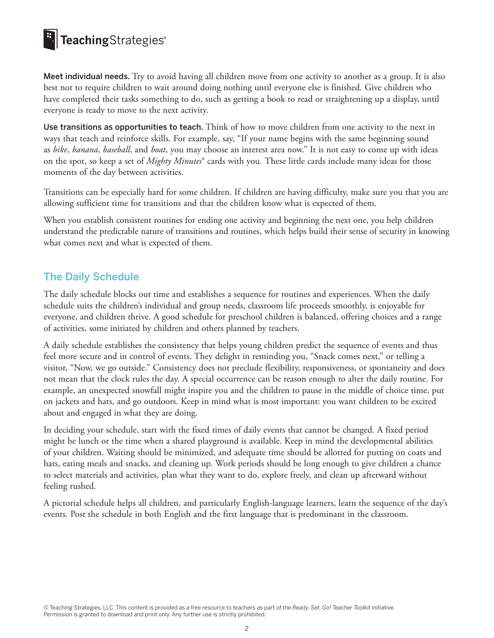### **E** TeachingStrategies®

Meet individual needs. Try to avoid having all children move from one activity to another as a group. It is also best not to require children to wait around doing nothing until everyone else is finished. Give children who have completed their tasks something to do, such as getting a book to read or straightening up a display, until everyone is ready to move to the next activity.

Use transitions as opportunities to teach. Think of how to move children from one activity to the next in ways that teach and reinforce skills. For example, say, "If your name begins with the same beginning sound as *bike*, *banana*, *baseball*, and *boat*, you may choose an interest area now." It is not easy to come up with ideas on the spot, so keep a set of *Mighty Minutes*® cards with you*.* These little cards include many ideas for those moments of the day between activities.

Transitions can be especially hard for some children. If children are having difficulty, make sure you that you are allowing sufficient time for transitions and that the children know what is expected of them.

When you establish consistent routines for ending one activity and beginning the next one, you help children understand the predictable nature of transitions and routines, which helps build their sense of security in knowing what comes next and what is expected of them.

#### The Daily Schedule

The daily schedule blocks out time and establishes a sequence for routines and experiences. When the daily schedule suits the children's individual and group needs, classroom life proceeds smoothly, is enjoyable for everyone, and children thrive. A good schedule for preschool children is balanced, offering choices and a range of activities, some initiated by children and others planned by teachers.

A daily schedule establishes the consistency that helps young children predict the sequence of events and thus feel more secure and in control of events. They delight in reminding you, "Snack comes next," or telling a visitor, "Now, we go outside." Consistency does not preclude flexibility, responsiveness, or spontaneity and does not mean that the clock rules the day. A special occurrence can be reason enough to alter the daily routine. For example, an unexpected snowfall might inspire you and the children to pause in the middle of choice time, put on jackets and hats, and go outdoors. Keep in mind what is most important: you want children to be excited about and engaged in what they are doing.

In deciding your schedule, start with the fixed times of daily events that cannot be changed. A fixed period might be lunch or the time when a shared playground is available. Keep in mind the developmental abilities of your children. Waiting should be minimized, and adequate time should be allotted for putting on coats and hats, eating meals and snacks, and cleaning up. Work periods should be long enough to give children a chance to select materials and activities, plan what they want to do, explore freely, and clean up afterward without feeling rushed.

A pictorial schedule helps all children, and particularly English-language learners, learn the sequence of the day's events. Post the schedule in both English and the first language that is predominant in the classroom.

© Teaching Strategies, LLC. This content is provided as a free resource to teachers as part of the *Ready. Set. Go! Teacher Toolkit* initiative. Permission is granted to download and print only. Any further use is strictly prohibited.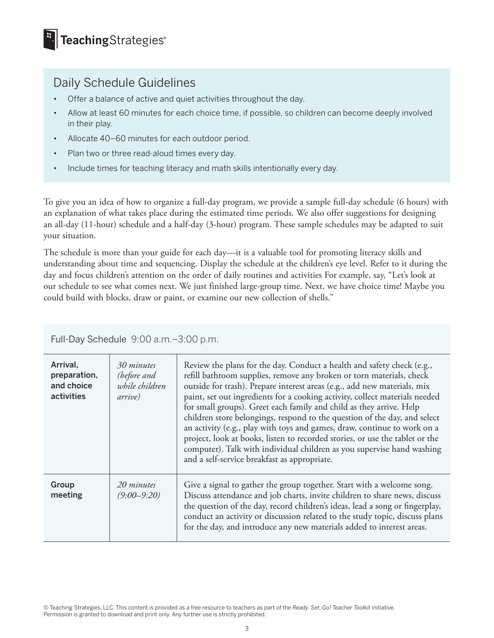### Daily Schedule Guidelines

- Offer a balance of active and quiet activities throughout the day.
- Allow at least 60 minutes for each choice time, if possible, so children can become deeply involved in their play.
- Allocate 40–60 minutes for each outdoor period.
- Plan two or three read-aloud times every day.
- Include times for teaching literacy and math skills intentionally every day.

To give you an idea of how to organize a full-day program, we provide a sample full-day schedule (6 hours) with an explanation of what takes place during the estimated time periods. We also offer suggestions for designing an all-day (11-hour) schedule and a half-day (3-hour) program. These sample schedules may be adapted to suit your situation.

The schedule is more than your guide for each day—it is a valuable tool for promoting literacy skills and understanding about time and sequencing. Display the schedule at the children's eye level. Refer to it during the day and focus children's attention on the order of daily routines and activities For example, say, "Let's look at our schedule to see what comes next. We just finished large-group time. Next, we have choice time! Maybe you could build with blocks, draw or paint, or examine our new collection of shells."

| Arrival,<br>preparation,<br>and choice<br>activities | 30 minutes<br>(before and<br>while children<br>arrive) | Review the plans for the day. Conduct a health and safety check (e.g.,<br>refill bathroom supplies, remove any broken or torn materials, check<br>outside for trash). Prepare interest areas (e.g., add new materials, mix<br>paint, set out ingredients for a cooking activity, collect materials needed<br>for small groups). Greet each family and child as they arrive. Help<br>children store belongings, respond to the question of the day, and select<br>an activity (e.g., play with toys and games, draw, continue to work on a<br>project, look at books, listen to recorded stories, or use the tablet or the<br>computer). Talk with individual children as you supervise hand washing<br>and a self-service breakfast as appropriate. |
|------------------------------------------------------|--------------------------------------------------------|-----------------------------------------------------------------------------------------------------------------------------------------------------------------------------------------------------------------------------------------------------------------------------------------------------------------------------------------------------------------------------------------------------------------------------------------------------------------------------------------------------------------------------------------------------------------------------------------------------------------------------------------------------------------------------------------------------------------------------------------------------|
| Group<br>meeting                                     | 20 minutes<br>$(9:00 - 9:20)$                          | Give a signal to gather the group together. Start with a welcome song.<br>Discuss attendance and job charts, invite children to share news, discuss<br>the question of the day, record children's ideas, lead a song or fingerplay,<br>conduct an activity or discussion related to the study topic, discuss plans<br>for the day, and introduce any new materials added to interest areas.                                                                                                                                                                                                                                                                                                                                                         |

Full-Day Schedule 9:00 a.m.–3:00 p.m.

<sup>©</sup> Teaching Strategies, LLC. This content is provided as a free resource to teachers as part of the *Ready. Set. Go! Teacher Toolkit* initiative. Permission is granted to download and print only. Any further use is strictly prohibited.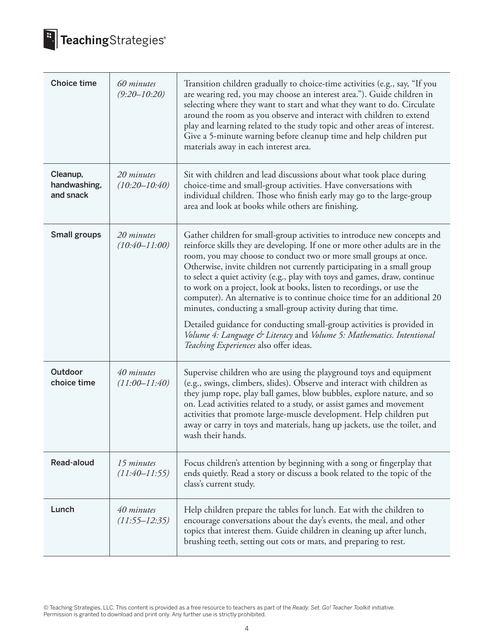

# **E.** TeachingStrategies®

| <b>Choice time</b>                    | 60 minutes<br>$(9:20 - 10:20)$  | Transition children gradually to choice-time activities (e.g., say, "If you<br>are wearing red, you may choose an interest area."). Guide children in<br>selecting where they want to start and what they want to do. Circulate<br>around the room as you observe and interact with children to extend<br>play and learning related to the study topic and other areas of interest.<br>Give a 5-minute warning before cleanup time and help children put<br>materials away in each interest area.                                                                                                                                                                                                                                                                                                        |
|---------------------------------------|---------------------------------|----------------------------------------------------------------------------------------------------------------------------------------------------------------------------------------------------------------------------------------------------------------------------------------------------------------------------------------------------------------------------------------------------------------------------------------------------------------------------------------------------------------------------------------------------------------------------------------------------------------------------------------------------------------------------------------------------------------------------------------------------------------------------------------------------------|
| Cleanup,<br>handwashing,<br>and snack | 20 minutes<br>$(10:20 - 10:40)$ | Sit with children and lead discussions about what took place during<br>choice-time and small-group activities. Have conversations with<br>individual children. Those who finish early may go to the large-group<br>area and look at books while others are finishing.                                                                                                                                                                                                                                                                                                                                                                                                                                                                                                                                    |
| <b>Small groups</b>                   | 20 minutes<br>$(10:40 - 11:00)$ | Gather children for small-group activities to introduce new concepts and<br>reinforce skills they are developing. If one or more other adults are in the<br>room, you may choose to conduct two or more small groups at once.<br>Otherwise, invite children not currently participating in a small group<br>to select a quiet activity (e.g., play with toys and games, draw, continue<br>to work on a project, look at books, listen to recordings, or use the<br>computer). An alternative is to continue choice time for an additional 20<br>minutes, conducting a small-group activity during that time.<br>Detailed guidance for conducting small-group activities is provided in<br>Volume 4: Language & Literacy and Volume 5: Mathematics. Intentional<br>Teaching Experiences also offer ideas. |
| Outdoor<br>choice time                | 40 minutes<br>$(11:00 - 11:40)$ | Supervise children who are using the playground toys and equipment<br>(e.g., swings, climbers, slides). Observe and interact with children as<br>they jump rope, play ball games, blow bubbles, explore nature, and so<br>on. Lead activities related to a study, or assist games and movement<br>activities that promote large-muscle development. Help children put<br>away or carry in toys and materials, hang up jackets, use the toilet, and<br>wash their hands.                                                                                                                                                                                                                                                                                                                                  |
| Read-aloud                            | 15 minutes<br>$(11:40 - 11:55)$ | Focus children's attention by beginning with a song or fingerplay that<br>ends quietly. Read a story or discuss a book related to the topic of the<br>class's current study.                                                                                                                                                                                                                                                                                                                                                                                                                                                                                                                                                                                                                             |
| Lunch                                 | 40 minutes<br>$(11:55 - 12:35)$ | Help children prepare the tables for lunch. Eat with the children to<br>encourage conversations about the day's events, the meal, and other<br>topics that interest them. Guide children in cleaning up after lunch,<br>brushing teeth, setting out cots or mats, and preparing to rest.                                                                                                                                                                                                                                                                                                                                                                                                                                                                                                                 |

© Teaching Strategies, LLC. This content is provided as a free resource to teachers as part of the *Ready. Set. Go! Teacher Toolkit* initiative. Permission is granted to download and print only. Any further use is strictly prohibited.